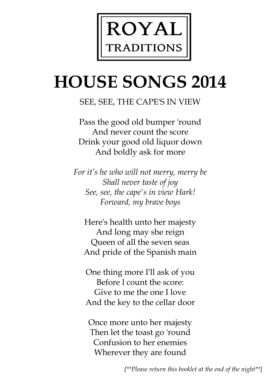

# **HOUSE SONGS 2014**

## SEE, SEE, THE CAPE'S IN VIEW

Pass the good old bumper 'round And never count the score Drink your good old liquor down And boldly ask for more

*For it's he who will not merry, merry be Shall never taste of joy See, see, the cape's in view Hark! Forward, my brave boys*

Here's health unto her majesty And long may she reign Queen of all the seven seas And pride of the Spanish main

One thing more I'll ask of you Before l count the score: Give to me the one I love And the key to the cellar door

Once more unto her majesty Then let the toast go 'round Confusion to her enemies Wherever they are found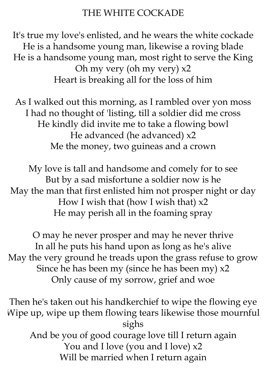#### THE WHITE COCKADE

It's true my love's enlisted, and he wears the white cockade He is a handsome young man, likewise a roving blade He is a handsome young man, most right to serve the King Oh my very (oh my very) x2 Heart is breaking all for the loss of him

As I walked out this morning, as I rambled over yon moss I had no thought of 'listing, till a soldier did me cross He kindly did invite me to take a flowing bowl He advanced (he advanced) x2 Me the money, two guineas and a crown

My love is tall and handsome and comely for to see But by a sad misfortune a soldier now is he May the man that first enlisted him not prosper night or day How I wish that (how I wish that) x2 He may perish all in the foaming spray

O may he never prosper and may he never thrive In all he puts his hand upon as long as he's alive May the very ground he treads upon the grass refuse to grow Since he has been my (since he has been my)  $x^2$ Only cause of my sorrow, grief and woe

Then he's taken out his handkerchief to wipe the flowing eye Wipe up, wipe up them flowing tears likewise those mournful sighs And be you of good courage love till I return again You and I love (you and I love) x2 Will be married when I return again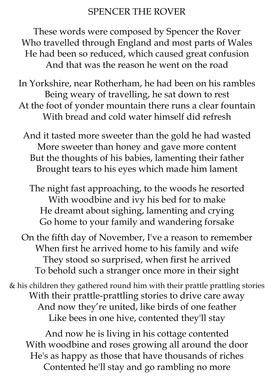#### SPENCER THE ROVER

These words were composed by Spencer the Rover Who travelled through England and most parts of Wales He had been so reduced, which caused great confusion And that was the reason he went on the road

In Yorkshire, near Rotherham, he had been on his rambles Being weary of travelling, he sat down to rest At the foot of yonder mountain there runs a clear fountain With bread and cold water himself did refresh

And it tasted more sweeter than the gold he had wasted More sweeter than honey and gave more content But the thoughts of his babies, lamenting their father Brought tears to his eyes which made him lament

The night fast approaching, to the woods he resorted With woodbine and ivy his bed for to make He dreamt about sighing, lamenting and crying Go home to your family and wandering forsake

On the fifth day of November, I've a reason to remember When first he arrived home to his family and wife They stood so surprised, when first he arrived To behold such a stranger once more in their sight

& his children they gathered round him with their prattle prattling stories With their prattle-prattling stories to drive care away And now they're united, like birds of one feather Like bees in one hive, contented they'll stay

And now he is living in his cottage contented With woodbine and roses growing all around the door He's as happy as those that have thousands of riches Contented he'll stay and go rambling no more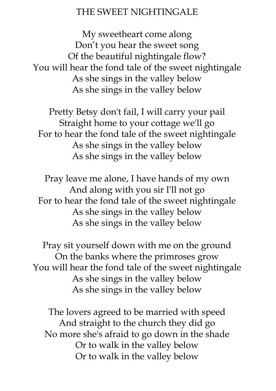#### THE SWEET NIGHTINGALE

My sweetheart come along Don't you hear the sweet song Of the beautiful nightingale flow? You will hear the fond tale of the sweet nightingale As she sings in the valley below As she sings in the valley below

Pretty Betsy don't fail, I will carry your pail Straight home to your cottage we'll go For to hear the fond tale of the sweet nightingale As she sings in the valley below As she sings in the valley below

Pray leave me alone, I have hands of my own And along with you sir I'll not go For to hear the fond tale of the sweet nightingale As she sings in the valley below As she sings in the valley below

Pray sit yourself down with me on the ground On the banks where the primroses grow You will hear the fond tale of the sweet nightingale As she sings in the valley below As she sings in the valley below

The lovers agreed to be married with speed And straight to the church they did go No more she's afraid to go down in the shade Or to walk in the valley below Or to walk in the valley below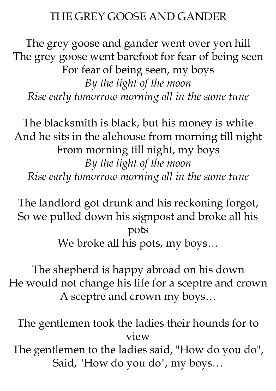# THE GREY GOOSE AND GANDER

The grey goose and gander went over yon hill The grey goose went barefoot for fear of being seen For fear of being seen, my boys *By the light of the moon Rise early tomorrow morning all in the same tune*

The blacksmith is black, but his money is white And he sits in the alehouse from morning till night From morning till night, my boys *By the light of the moon Rise early tomorrow morning all in the same tune*

The landlord got drunk and his reckoning forgot, So we pulled down his signpost and broke all his pots We broke all his pots, my boys...

The shepherd is happy abroad on his down He would not change his life for a sceptre and crown A sceptre and crown my boys…

The gentlemen took the ladies their hounds for to view The gentlemen to the ladies said, "How do you do", Said, "How do you do", my boys…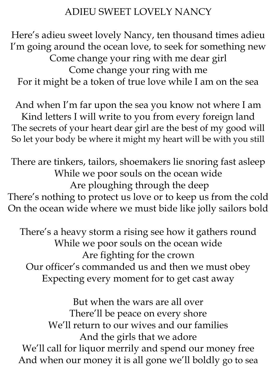# ADIEU SWEET LOVELY NANCY

Here's adieu sweet lovely Nancy, ten thousand times adieu I'm going around the ocean love, to seek for something new Come change your ring with me dear girl Come change your ring with me For it might be a token of true love while I am on the sea

And when I'm far upon the sea you know not where I am Kind letters I will write to you from every foreign land The secrets of your heart dear girl are the best of my good will So let your body be where it might my heart will be with you still

There are tinkers, tailors, shoemakers lie snoring fast asleep While we poor souls on the ocean wide Are ploughing through the deep There's nothing to protect us love or to keep us from the cold On the ocean wide where we must bide like jolly sailors bold

There's a heavy storm a rising see how it gathers round While we poor souls on the ocean wide Are fighting for the crown Our officer's commanded us and then we must obey Expecting every moment for to get cast away

But when the wars are all over There'll be peace on every shore We'll return to our wives and our families And the girls that we adore We'll call for liquor merrily and spend our money free And when our money it is all gone we'll boldly go to sea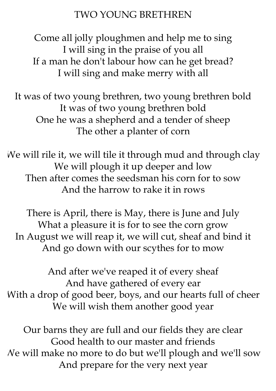### TWO YOUNG BRETHREN

Come all jolly ploughmen and help me to sing I will sing in the praise of you all If a man he don't labour how can he get bread? I will sing and make merry with all

It was of two young brethren, two young brethren bold It was of two young brethren bold One he was a shepherd and a tender of sheep The other a planter of corn

We will rile it, we will tile it through mud and through clay We will plough it up deeper and low Then after comes the seedsman his corn for to sow And the harrow to rake it in rows

There is April, there is May, there is June and July What a pleasure it is for to see the corn grow In August we will reap it, we will cut, sheaf and bind it And go down with our scythes for to mow

And after we've reaped it of every sheaf And have gathered of every ear With a drop of good beer, boys, and our hearts full of cheer We will wish them another good year

Our barns they are full and our fields they are clear Good health to our master and friends We will make no more to do but we'll plough and we'll sow And prepare for the very next year